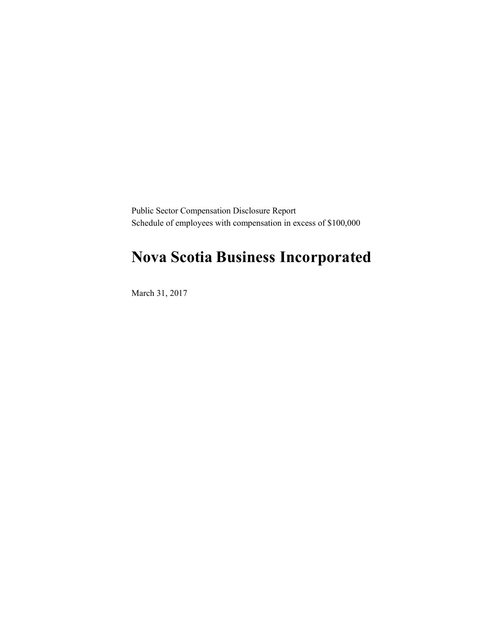Public Sector Compensation Disclosure Report Schedule of employees with compensation in excess of \$100,000

## **Nova Scotia Business Incorporated**

March 31, 2017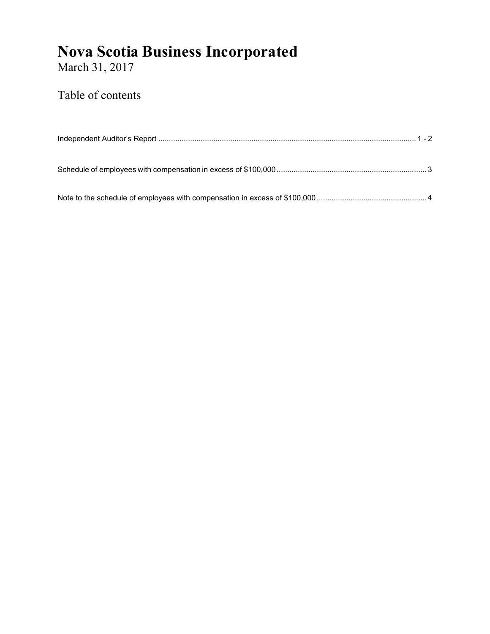## **Nova Scotia Business Incorporated**

March 31, 2017

### Table of contents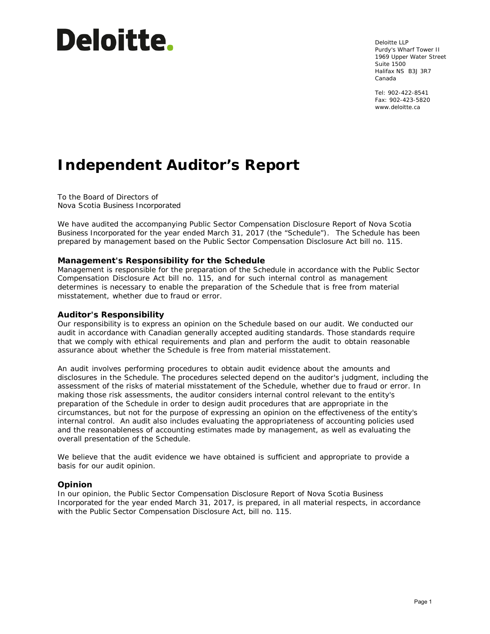# **Deloitte.**

Deloitte LLP Purdy's Wharf Tower II 1969 Upper Water Street Suite 1500 Halifax NS B3J 3R7 Canada

Tel: 902-422-8541 Fax: 902-423-5820 www.deloitte.ca

## **Independent Auditor's Report**

To the Board of Directors of Nova Scotia Business Incorporated

We have audited the accompanying Public Sector Compensation Disclosure Report of Nova Scotia Business Incorporated for the year ended March 31, 2017 (the "Schedule"). The Schedule has been prepared by management based on the Public Sector Compensation Disclosure Act bill no. 115.

#### **Management's Responsibility for the Schedule**

Management is responsible for the preparation of the Schedule in accordance with the Public Sector Compensation Disclosure Act bill no. 115, and for such internal control as management determines is necessary to enable the preparation of the Schedule that is free from material misstatement, whether due to fraud or error.

#### **Auditor's Responsibility**

Our responsibility is to express an opinion on the Schedule based on our audit. We conducted our audit in accordance with Canadian generally accepted auditing standards. Those standards require that we comply with ethical requirements and plan and perform the audit to obtain reasonable assurance about whether the Schedule is free from material misstatement.

An audit involves performing procedures to obtain audit evidence about the amounts and disclosures in the Schedule. The procedures selected depend on the auditor's judgment, including the assessment of the risks of material misstatement of the Schedule, whether due to fraud or error. In making those risk assessments, the auditor considers internal control relevant to the entity's preparation of the Schedule in order to design audit procedures that are appropriate in the circumstances, but not for the purpose of expressing an opinion on the effectiveness of the entity's internal control. An audit also includes evaluating the appropriateness of accounting policies used and the reasonableness of accounting estimates made by management, as well as evaluating the overall presentation of the Schedule.

We believe that the audit evidence we have obtained is sufficient and appropriate to provide a basis for our audit opinion.

#### **Opinion**

In our opinion, the Public Sector Compensation Disclosure Report of Nova Scotia Business Incorporated for the year ended March 31, 2017, is prepared, in all material respects, in accordance with the Public Sector Compensation Disclosure Act, bill no. 115.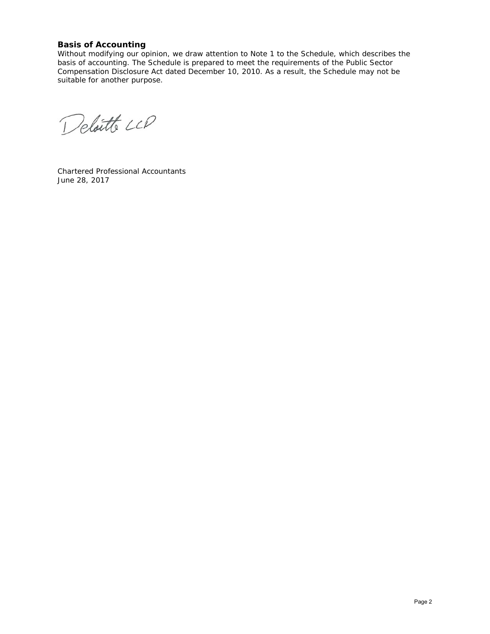#### **Basis of Accounting**

Without modifying our opinion, we draw attention to Note 1 to the Schedule, which describes the basis of accounting. The Schedule is prepared to meet the requirements of the Public Sector Compensation Disclosure Act dated December 10, 2010. As a result, the Schedule may not be suitable for another purpose.

Deloitte LLP

Chartered Professional Accountants June 28, 2017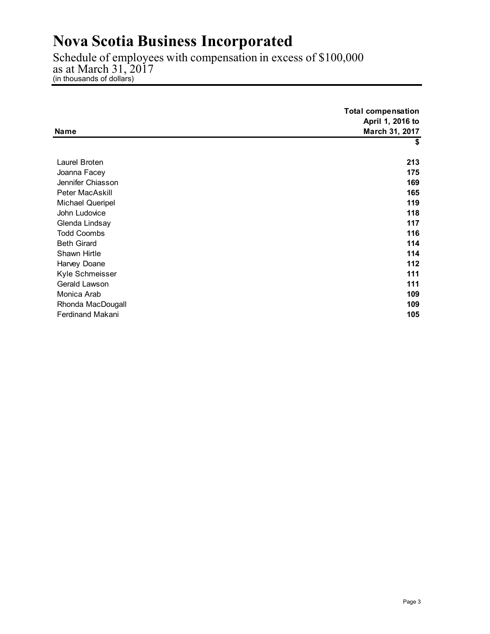## **Nova Scotia Business Incorporated**

Schedule of employees with compensation in excess of \$100,000 as at March 31, 2017 (in thousands of dollars)

| Name                    | <b>Total compensation</b><br>April 1, 2016 to<br>March 31, 2017 |
|-------------------------|-----------------------------------------------------------------|
|                         | \$                                                              |
|                         |                                                                 |
| Laurel Broten           | 213                                                             |
| Joanna Facey            | 175                                                             |
| Jennifer Chiasson       | 169                                                             |
| Peter MacAskill         | 165                                                             |
| Michael Queripel        | 119                                                             |
| John Ludovice           | 118                                                             |
| Glenda Lindsay          | 117                                                             |
| <b>Todd Coombs</b>      | 116                                                             |
| <b>Beth Girard</b>      | 114                                                             |
| Shawn Hirtle            | 114                                                             |
| Harvey Doane            | 112                                                             |
| Kyle Schmeisser         | 111                                                             |
| Gerald Lawson           | 111                                                             |
| Monica Arab             | 109                                                             |
| Rhonda MacDougall       | 109                                                             |
| <b>Ferdinand Makani</b> | 105                                                             |